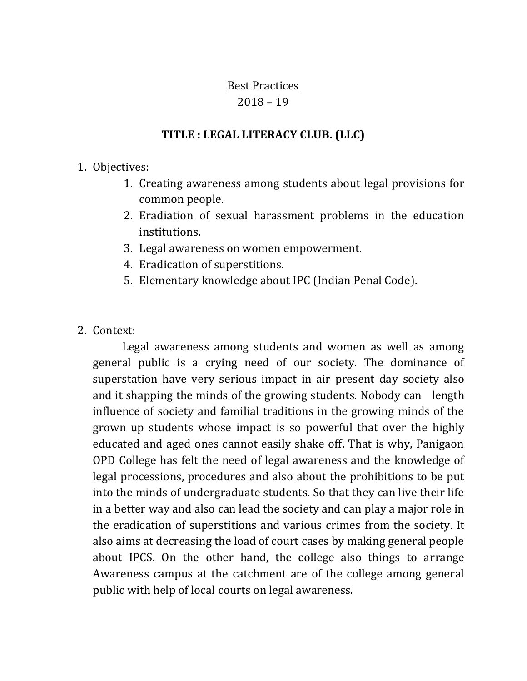#### Best Practices 2018 – 19

# **TITLE : LEGAL LITERACY CLUB. (LLC)**

### 1. Objectives:

- 1. Creating awareness among students about legal provisions for common people.
- 2. Eradiation of sexual harassment problems in the education institutions.
- 3. Legal awareness on women empowerment.
- 4. Eradication of superstitions.
- 5. Elementary knowledge about IPC (Indian Penal Code).
- 2. Context:

 Legal awareness among students and women as well as among general public is a crying need of our society. The dominance of superstation have very serious impact in air present day society also and it shapping the minds of the growing students. Nobody can length influence of society and familial traditions in the growing minds of the grown up students whose impact is so powerful that over the highly educated and aged ones cannot easily shake off. That is why, Panigaon OPD College has felt the need of legal awareness and the knowledge of legal processions, procedures and also about the prohibitions to be put into the minds of undergraduate students. So that they can live their life in a better way and also can lead the society and can play a major role in the eradication of superstitions and various crimes from the society. It also aims at decreasing the load of court cases by making general people about IPCS. On the other hand, the college also things to arrange Awareness campus at the catchment are of the college among general public with help of local courts on legal awareness.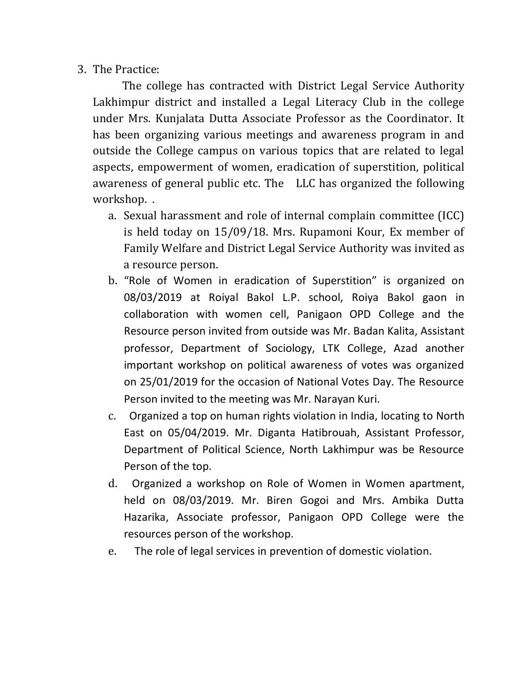## 3. The Practice:

 The college has contracted with District Legal Service Authority Lakhimpur district and installed a Legal Literacy Club in the college under Mrs. Kunjalata Dutta Associate Professor as the Coordinator. It has been organizing various meetings and awareness program in and outside the College campus on various topics that are related to legal aspects, empowerment of women, eradication of superstition, political awareness of general public etc. The LLC has organized the following workshop. .

- a. Sexual harassment and role of internal complain committee (ICC) is held today on 15/09/18. Mrs. Rupamoni Kour, Ex member of Family Welfare and District Legal Service Authority was invited as a resource person.
- b. "Role of Women in eradication of Superstition" is organized on 08/03/2019 at Roiyal Bakol L.P. school, Roiya Bakol gaon in collaboration with women cell, Panigaon OPD College and the Resource person invited from outside was Mr. Badan Kalita, Assistant professor, Department of Sociology, LTK College, Azad another important workshop on political awareness of votes was organized on 25/01/2019 for the occasion of National Votes Day. The Resource Person invited to the meeting was Mr. Narayan Kuri.
- c. Organized a top on human rights violation in India, locating to North East on 05/04/2019. Mr. Diganta Hatibrouah, Assistant Professor, Department of Political Science, North Lakhimpur was be Resource Person of the top.
- d. Organized a workshop on Role of Women in Women apartment, held on 08/03/2019. Mr. Biren Gogoi and Mrs. Ambika Dutta Hazarika, Associate professor, Panigaon OPD College were the resources person of the workshop.
- e. The role of legal services in prevention of domestic violation.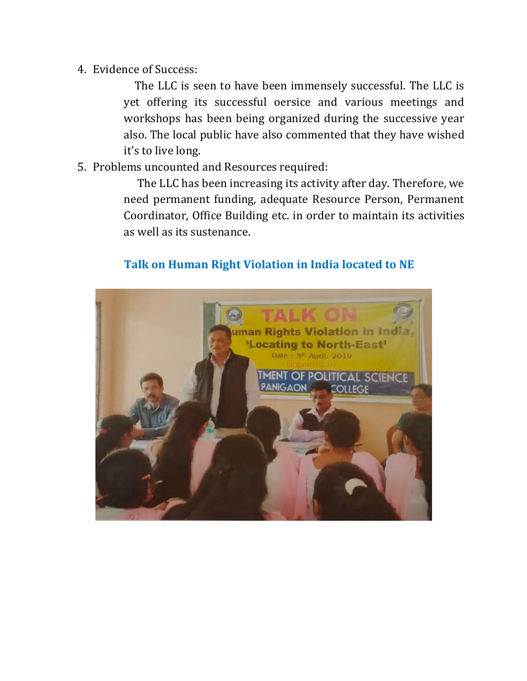4. Evidence of Success:

 The LLC is seen to have been immensely successful. The LLC is yet offering its successful oersice and various meetings and workshops has been being organized during the successive year also. The local public have also commented that they have wished it's to live long.

5. Problems uncounted and Resources required:

 The LLC has been increasing its activity after day. Therefore, we need permanent funding, adequate Resource Person, Permanent Coordinator, Office Building etc. in order to maintain its activities as well as its sustenance.

# **Talk on Human Right Violation in India located to NE**

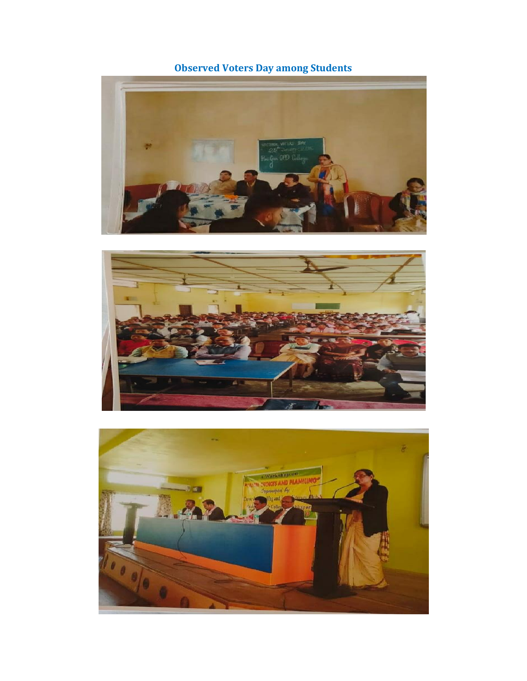**Observed Voters Day among Students**